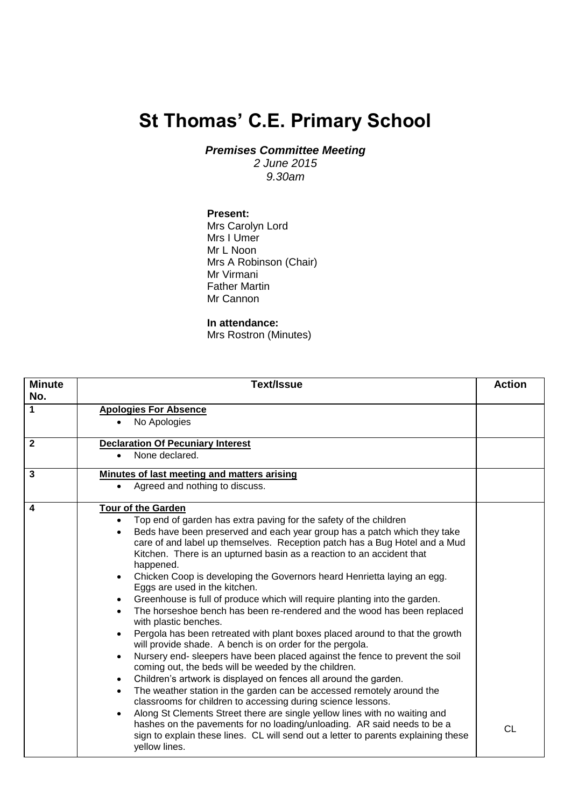## **St Thomas' C.E. Primary School**

*Premises Committee Meeting*

*2 June 2015 9.30am*

## **Present:**

Mrs Carolyn Lord Mrs I Umer Mr L Noon Mrs A Robinson (Chair) Mr Virmani Father Martin Mr Cannon

## **In attendance:**

Mrs Rostron (Minutes)

| <b>Minute</b><br>No. | <b>Text/Issue</b>                                                                                                                                     |           |  |  |
|----------------------|-------------------------------------------------------------------------------------------------------------------------------------------------------|-----------|--|--|
| 1                    | <b>Apologies For Absence</b>                                                                                                                          |           |  |  |
|                      | No Apologies                                                                                                                                          |           |  |  |
| $\mathbf{2}$         | <b>Declaration Of Pecuniary Interest</b>                                                                                                              |           |  |  |
|                      | None declared.<br>$\bullet$                                                                                                                           |           |  |  |
| 3                    | Minutes of last meeting and matters arising                                                                                                           |           |  |  |
|                      | Agreed and nothing to discuss.<br>$\bullet$                                                                                                           |           |  |  |
| 4                    | <b>Tour of the Garden</b>                                                                                                                             |           |  |  |
|                      | Top end of garden has extra paving for the safety of the children<br>$\bullet$                                                                        |           |  |  |
|                      | Beds have been preserved and each year group has a patch which they take<br>$\bullet$                                                                 |           |  |  |
|                      | care of and label up themselves. Reception patch has a Bug Hotel and a Mud                                                                            |           |  |  |
|                      | Kitchen. There is an upturned basin as a reaction to an accident that                                                                                 |           |  |  |
|                      | happened.                                                                                                                                             |           |  |  |
|                      | Chicken Coop is developing the Governors heard Henrietta laying an egg.<br>$\bullet$<br>Eggs are used in the kitchen.                                 |           |  |  |
|                      | Greenhouse is full of produce which will require planting into the garden.<br>$\bullet$                                                               |           |  |  |
|                      | The horseshoe bench has been re-rendered and the wood has been replaced<br>$\bullet$<br>with plastic benches.                                         |           |  |  |
|                      | Pergola has been retreated with plant boxes placed around to that the growth<br>$\bullet$<br>will provide shade. A bench is on order for the pergola. |           |  |  |
|                      | Nursery end- sleepers have been placed against the fence to prevent the soil<br>$\bullet$<br>coming out, the beds will be weeded by the children.     |           |  |  |
|                      | Children's artwork is displayed on fences all around the garden.<br>$\bullet$                                                                         |           |  |  |
|                      | The weather station in the garden can be accessed remotely around the<br>$\bullet$                                                                    |           |  |  |
|                      | classrooms for children to accessing during science lessons.                                                                                          |           |  |  |
|                      | Along St Clements Street there are single yellow lines with no waiting and<br>$\bullet$                                                               |           |  |  |
|                      | hashes on the pavements for no loading/unloading. AR said needs to be a                                                                               | <b>CL</b> |  |  |
|                      | sign to explain these lines. CL will send out a letter to parents explaining these<br>yellow lines.                                                   |           |  |  |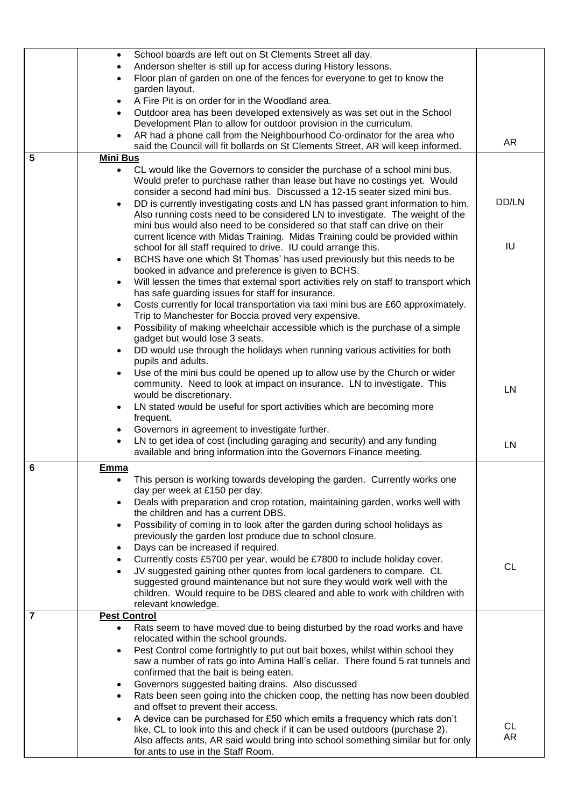|   | School boards are left out on St Clements Street all day.<br>$\bullet$                                                     |           |
|---|----------------------------------------------------------------------------------------------------------------------------|-----------|
|   | Anderson shelter is still up for access during History lessons.                                                            |           |
|   | Floor plan of garden on one of the fences for everyone to get to know the                                                  |           |
|   | garden layout.                                                                                                             |           |
|   | A Fire Pit is on order for in the Woodland area.<br>$\bullet$                                                              |           |
|   | Outdoor area has been developed extensively as was set out in the School                                                   |           |
|   | Development Plan to allow for outdoor provision in the curriculum.                                                         |           |
|   | AR had a phone call from the Neighbourhood Co-ordinator for the area who                                                   |           |
|   | said the Council will fit bollards on St Clements Street, AR will keep informed.                                           | AR        |
| 5 | <b>Mini Bus</b>                                                                                                            |           |
|   | CL would like the Governors to consider the purchase of a school mini bus.<br>$\bullet$                                    |           |
|   | Would prefer to purchase rather than lease but have no costings yet. Would                                                 |           |
|   | consider a second had mini bus. Discussed a 12-15 seater sized mini bus.                                                   |           |
|   | DD is currently investigating costs and LN has passed grant information to him.<br>$\bullet$                               | DD/LN     |
|   | Also running costs need to be considered LN to investigate. The weight of the                                              |           |
|   | mini bus would also need to be considered so that staff can drive on their                                                 |           |
|   | current licence with Midas Training. Midas Training could be provided within                                               |           |
|   | school for all staff required to drive. IU could arrange this.                                                             | IU        |
|   | BCHS have one which St Thomas' has used previously but this needs to be<br>$\bullet$                                       |           |
|   | booked in advance and preference is given to BCHS.                                                                         |           |
|   | Will lessen the times that external sport activities rely on staff to transport which<br>$\bullet$                         |           |
|   | has safe guarding issues for staff for insurance.                                                                          |           |
|   | Costs currently for local transportation via taxi mini bus are £60 approximately.<br>$\bullet$                             |           |
|   | Trip to Manchester for Boccia proved very expensive.                                                                       |           |
|   | Possibility of making wheelchair accessible which is the purchase of a simple<br>$\bullet$                                 |           |
|   | gadget but would lose 3 seats.                                                                                             |           |
|   | DD would use through the holidays when running various activities for both<br>pupils and adults.                           |           |
|   | Use of the mini bus could be opened up to allow use by the Church or wider                                                 |           |
|   | community. Need to look at impact on insurance. LN to investigate. This                                                    |           |
|   | would be discretionary.                                                                                                    | LN        |
|   | LN stated would be useful for sport activities which are becoming more<br>$\bullet$                                        |           |
|   | frequent.                                                                                                                  |           |
|   | Governors in agreement to investigate further.                                                                             |           |
|   | LN to get idea of cost (including garaging and security) and any funding<br>$\bullet$                                      | LN        |
|   | available and bring information into the Governors Finance meeting.                                                        |           |
| 6 | Emma                                                                                                                       |           |
|   | This person is working towards developing the garden. Currently works one<br>٠                                             |           |
|   | day per week at £150 per day.                                                                                              |           |
|   | Deals with preparation and crop rotation, maintaining garden, works well with<br>$\bullet$                                 |           |
|   | the children and has a current DBS.                                                                                        |           |
|   | Possibility of coming in to look after the garden during school holidays as<br>$\bullet$                                   |           |
|   | previously the garden lost produce due to school closure.                                                                  |           |
|   | Days can be increased if required.<br>$\bullet$                                                                            |           |
|   | Currently costs £5700 per year, would be £7800 to include holiday cover.                                                   |           |
|   | JV suggested gaining other quotes from local gardeners to compare. CL<br>$\bullet$                                         | <b>CL</b> |
|   | suggested ground maintenance but not sure they would work well with the                                                    |           |
|   | children. Would require to be DBS cleared and able to work with children with                                              |           |
|   | relevant knowledge.                                                                                                        |           |
| 7 | <b>Pest Control</b>                                                                                                        |           |
|   | Rats seem to have moved due to being disturbed by the road works and have<br>$\bullet$                                     |           |
|   | relocated within the school grounds.                                                                                       |           |
|   | Pest Control come fortnightly to put out bait boxes, whilst within school they<br>$\bullet$                                |           |
|   | saw a number of rats go into Amina Hall's cellar. There found 5 rat tunnels and<br>confirmed that the bait is being eaten. |           |
|   | Governors suggested baiting drains. Also discussed                                                                         |           |
|   | $\bullet$<br>Rats been seen going into the chicken coop, the netting has now been doubled                                  |           |
|   | $\bullet$<br>and offset to prevent their access.                                                                           |           |
|   | A device can be purchased for £50 which emits a frequency which rats don't                                                 |           |
|   | like, CL to look into this and check if it can be used outdoors (purchase 2).                                              | CL        |
|   | Also affects ants, AR said would bring into school something similar but for only                                          | AR        |
|   | for ants to use in the Staff Room.                                                                                         |           |